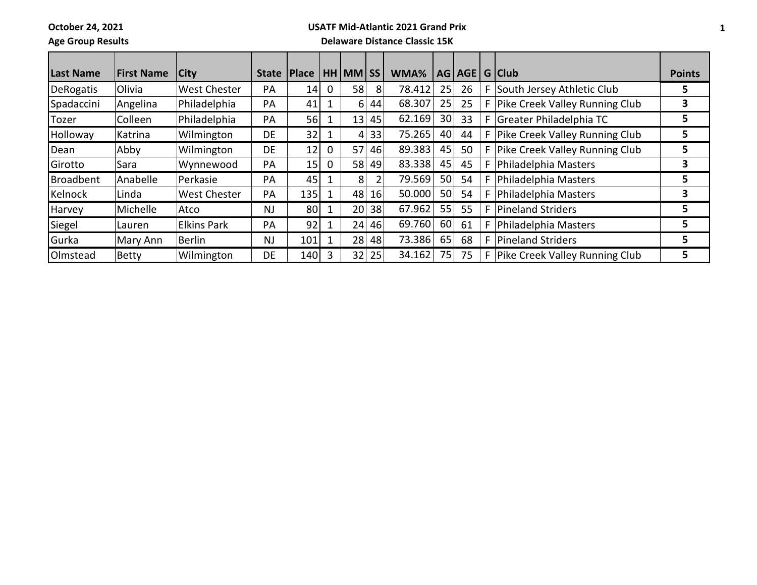**October 24, 2021**

## **USATF Mid-Atlantic 2021 Grand Prix**

**Age Group Results**

## **Delaware Distance Classic 15K**

| Last Name        | <b>First Name</b> | <b>City</b>         | <b>State</b> | Place |   | <b>HH MM SS</b> |    | WMA%   |                 | AG AGE |   | G Club                         | <b>Points</b> |
|------------------|-------------------|---------------------|--------------|-------|---|-----------------|----|--------|-----------------|--------|---|--------------------------------|---------------|
| <b>DeRogatis</b> | Olivia            | <b>West Chester</b> | PA           | 14    | 0 | 58              | 8  | 78.412 | 25              | 26     | F | South Jersey Athletic Club     | 5.            |
| Spadaccini       | Angelina          | Philadelphia        | PA           | 41    |   | 6               | 44 | 68.307 | 25              | 25     | F | Pike Creek Valley Running Club | 3             |
| Tozer            | Colleen           | Philadelphia        | PA           | 56    |   | 13 <sup>1</sup> | 45 | 62.169 | 30 <sub>l</sub> | 33     | F | Greater Philadelphia TC        | 5             |
| Holloway         | Katrina           | Wilmington          | <b>DE</b>    | 32    |   | 4               | 33 | 75.265 | 40              | 44     | F | Pike Creek Valley Running Club | 5.            |
| Dean             | Abby              | Wilmington          | <b>DE</b>    | 12    | 0 | 57 <sup>1</sup> | 46 | 89.383 | 45              | 50     | F | Pike Creek Valley Running Club | 5             |
| Girotto          | Sara              | Wynnewood           | PA           | $15$  | 0 | 58              | 49 | 83.338 | 45              | 45     |   | Philadelphia Masters           | 3             |
| Broadbent        | Anabelle          | Perkasie            | PA           | 45    |   | 8               |    | 79.569 | 50 <sup>1</sup> | 54     | F | Philadelphia Masters           | 5.            |
| Kelnock          | Linda             | <b>West Chester</b> | PA           | 135   |   | 48              | 16 | 50.000 | 50 <sub>l</sub> | 54     | F | Philadelphia Masters           | 3             |
| Harvey           | Michelle          | Atco                | <b>NJ</b>    | 80    |   | 20 <sup>1</sup> | 38 | 67.962 | 55              | 55     | F | Pineland Striders              | 5             |
| Siegel           | Lauren            | <b>Elkins Park</b>  | PA           | 92    |   | 24              | 46 | 69.760 | 60              | 61     | F | Philadelphia Masters           | 5.            |
| Gurka            | Mary Ann          | Berlin              | <b>NJ</b>    | 101   |   | 28              | 48 | 73.386 | 65              | 68     | F | Pineland Striders              | 5.            |
| Olmstead         | <b>Betty</b>      | Wilmington          | DE.          | 140   |   | 32              | 25 | 34.162 | 75              | 75     | F | Pike Creek Valley Running Club | 5             |